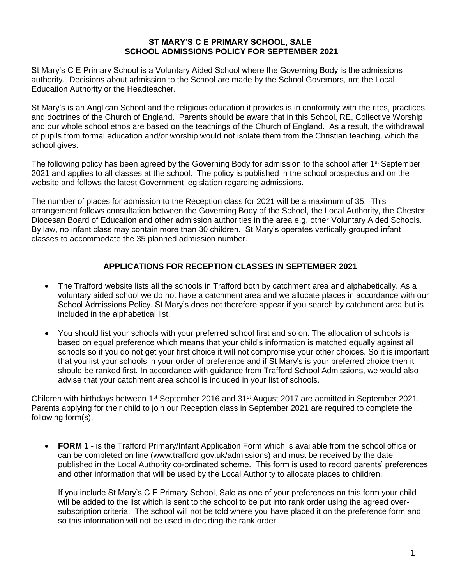#### **ST MARY'S C E PRIMARY SCHOOL, SALE SCHOOL ADMISSIONS POLICY FOR SEPTEMBER 2021**

St Mary's C E Primary School is a Voluntary Aided School where the Governing Body is the admissions authority. Decisions about admission to the School are made by the School Governors, not the Local Education Authority or the Headteacher.

St Mary's is an Anglican School and the religious education it provides is in conformity with the rites, practices and doctrines of the Church of England. Parents should be aware that in this School, RE, Collective Worship and our whole school ethos are based on the teachings of the Church of England. As a result, the withdrawal of pupils from formal education and/or worship would not isolate them from the Christian teaching, which the school gives.

The following policy has been agreed by the Governing Body for admission to the school after 1<sup>st</sup> September 2021 and applies to all classes at the school. The policy is published in the school prospectus and on the website and follows the latest Government legislation regarding admissions.

The number of places for admission to the Reception class for 2021 will be a maximum of 35. This arrangement follows consultation between the Governing Body of the School, the Local Authority, the Chester Diocesan Board of Education and other admission authorities in the area e.g. other Voluntary Aided Schools. By law, no infant class may contain more than 30 children. St Mary's operates vertically grouped infant classes to accommodate the 35 planned admission number.

# **APPLICATIONS FOR RECEPTION CLASSES IN SEPTEMBER 2021**

- The Trafford website lists all the schools in Trafford both by catchment area and alphabetically. As a voluntary aided school we do not have a catchment area and we allocate places in accordance with our School Admissions Policy. St Mary's does not therefore appear if you search by catchment area but is included in the alphabetical list.
- You should list your schools with your preferred school first and so on. The allocation of schools is based on equal preference which means that your child's information is matched equally against all schools so if you do not get your first choice it will not compromise your other choices. So it is important that you list your schools in your order of preference and if St Mary's is your preferred choice then it should be ranked first. In accordance with guidance from Trafford School Admissions, we would also advise that your catchment area school is included in your list of schools.

Children with birthdays between 1<sup>st</sup> September 2016 and 31<sup>st</sup> August 2017 are admitted in September 2021. Parents applying for their child to join our Reception class in September 2021 are required to complete the following form(s).

 **FORM 1 -** is the Trafford Primary/Infant Application Form which is available from the school office or can be completed on line [\(www.trafford.gov.uk/](http://www.trafford.gov.uk/)admissions) and must be received by the date published in the Local Authority co-ordinated scheme. This form is used to record parents' preferences and other information that will be used by the Local Authority to allocate places to children.

If you include St Mary's C E Primary School, Sale as one of your preferences on this form your child will be added to the list which is sent to the school to be put into rank order using the agreed oversubscription criteria. The school will not be told where you have placed it on the preference form and so this information will not be used in deciding the rank order.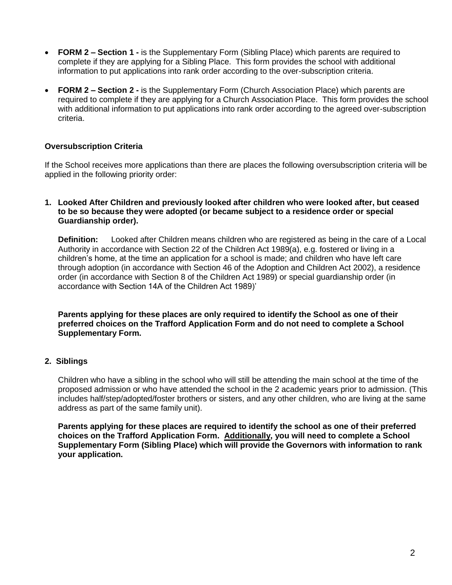- **FORM 2 – Section 1 -** is the Supplementary Form (Sibling Place) which parents are required to complete if they are applying for a Sibling Place. This form provides the school with additional information to put applications into rank order according to the over-subscription criteria.
- **FORM 2 – Section 2 -** is the Supplementary Form (Church Association Place) which parents are required to complete if they are applying for a Church Association Place. This form provides the school with additional information to put applications into rank order according to the agreed over-subscription criteria.

## **Oversubscription Criteria**

If the School receives more applications than there are places the following oversubscription criteria will be applied in the following priority order:

#### **1. Looked After Children and previously looked after children who were looked after, but ceased to be so because they were adopted (or became subject to a residence order or special Guardianship order).**

**Definition:** Looked after Children means children who are registered as being in the care of a Local Authority in accordance with Section 22 of the Children Act 1989(a), e.g. fostered or living in a children's home, at the time an application for a school is made; and children who have left care through adoption (in accordance with Section 46 of the Adoption and Children Act 2002), a residence order (in accordance with Section 8 of the Children Act 1989) or special guardianship order (in accordance with Section 14A of the Children Act 1989)'

**Parents applying for these places are only required to identify the School as one of their preferred choices on the Trafford Application Form and do not need to complete a School Supplementary Form.**

# **2. Siblings**

Children who have a sibling in the school who will still be attending the main school at the time of the proposed admission or who have attended the school in the 2 academic years prior to admission. (This includes half/step/adopted/foster brothers or sisters, and any other children, who are living at the same address as part of the same family unit).

**Parents applying for these places are required to identify the school as one of their preferred choices on the Trafford Application Form. Additionally, you will need to complete a School Supplementary Form (Sibling Place) which will provide the Governors with information to rank your application.**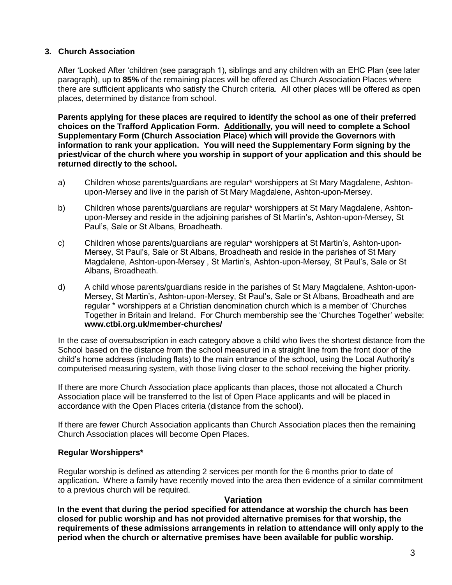## **3. Church Association**

After 'Looked After 'children (see paragraph 1), siblings and any children with an EHC Plan (see later paragraph), up to **85%** of the remaining places will be offered as Church Association Places where there are sufficient applicants who satisfy the Church criteria. All other places will be offered as open places, determined by distance from school.

**Parents applying for these places are required to identify the school as one of their preferred choices on the Trafford Application Form. Additionally, you will need to complete a School Supplementary Form (Church Association Place) which will provide the Governors with information to rank your application. You will need the Supplementary Form signing by the priest/vicar of the church where you worship in support of your application and this should be returned directly to the school.**

- a) Children whose parents/guardians are regular\* worshippers at St Mary Magdalene, Ashtonupon-Mersey and live in the parish of St Mary Magdalene, Ashton-upon-Mersey.
- b) Children whose parents/guardians are regular\* worshippers at St Mary Magdalene, Ashtonupon-Mersey and reside in the adjoining parishes of St Martin's, Ashton-upon-Mersey, St Paul's, Sale or St Albans, Broadheath.
- c) Children whose parents/guardians are regular\* worshippers at St Martin's, Ashton-upon-Mersey, St Paul's, Sale or St Albans, Broadheath and reside in the parishes of St Mary Magdalene, Ashton-upon-Mersey , St Martin's, Ashton-upon-Mersey, St Paul's, Sale or St Albans, Broadheath.
- d) A child whose parents/guardians reside in the parishes of St Mary Magdalene, Ashton-upon-Mersey, St Martin's, Ashton-upon-Mersey, St Paul's, Sale or St Albans, Broadheath and are regular \* worshippers at a Christian denomination church which is a member of 'Churches Together in Britain and Ireland. For Church membership see the 'Churches Together' website: **www.ctbi.org.uk/member-churches/**

In the case of oversubscription in each category above a child who lives the shortest distance from the School based on the distance from the school measured in a straight line from the front door of the child's home address (including flats) to the main entrance of the school, using the Local Authority's computerised measuring system, with those living closer to the school receiving the higher priority.

If there are more Church Association place applicants than places, those not allocated a Church Association place will be transferred to the list of Open Place applicants and will be placed in accordance with the Open Places criteria (distance from the school).

If there are fewer Church Association applicants than Church Association places then the remaining Church Association places will become Open Places.

### **Regular Worshippers\***

Regular worship is defined as attending 2 services per month for the 6 months prior to date of application**.** Where a family have recently moved into the area then evidence of a similar commitment to a previous church will be required.

### **Variation**

**In the event that during the period specified for attendance at worship the church has been closed for public worship and has not provided alternative premises for that worship, the requirements of these admissions arrangements in relation to attendance will only apply to the period when the church or alternative premises have been available for public worship.**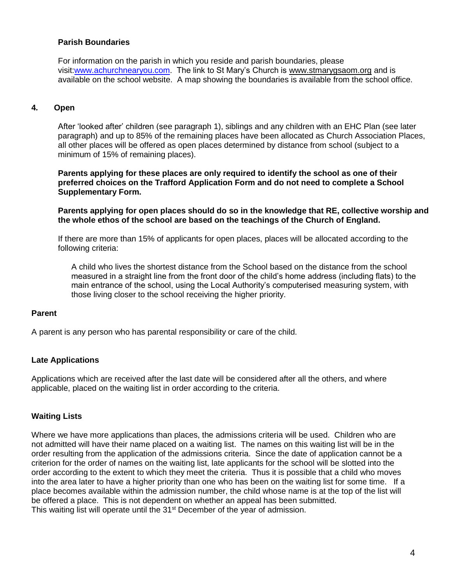### **Parish Boundaries**

For information on the parish in which you reside and parish boundaries, please visit[:www.achurchnearyou.com.](http://www.achurchnearyou.com/) The link to St Mary's Church is [www.stmarygsaom.org](http://www.stmarygsaom.org/) and is available on the school website. A map showing the boundaries is available from the school office.

## **4***.* **Open**

After 'looked after' children (see paragraph 1), siblings and any children with an EHC Plan (see later paragraph) and up to 85% of the remaining places have been allocated as Church Association Places, all other places will be offered as open places determined by distance from school (subject to a minimum of 15% of remaining places).

**Parents applying for these places are only required to identify the school as one of their preferred choices on the Trafford Application Form and do not need to complete a School Supplementary Form.**

**Parents applying for open places should do so in the knowledge that RE, collective worship and the whole ethos of the school are based on the teachings of the Church of England.** 

If there are more than 15% of applicants for open places, places will be allocated according to the following criteria:

A child who lives the shortest distance from the School based on the distance from the school measured in a straight line from the front door of the child's home address (including flats) to the main entrance of the school, using the Local Authority's computerised measuring system, with those living closer to the school receiving the higher priority.

#### **Parent**

A parent is any person who has parental responsibility or care of the child.

### **Late Applications**

Applications which are received after the last date will be considered after all the others, and where applicable, placed on the waiting list in order according to the criteria.

### **Waiting Lists**

Where we have more applications than places, the admissions criteria will be used. Children who are not admitted will have their name placed on a waiting list. The names on this waiting list will be in the order resulting from the application of the admissions criteria. Since the date of application cannot be a criterion for the order of names on the waiting list, late applicants for the school will be slotted into the order according to the extent to which they meet the criteria. Thus it is possible that a child who moves into the area later to have a higher priority than one who has been on the waiting list for some time. If a place becomes available within the admission number, the child whose name is at the top of the list will be offered a place. This is not dependent on whether an appeal has been submitted. This waiting list will operate until the 31<sup>st</sup> December of the year of admission.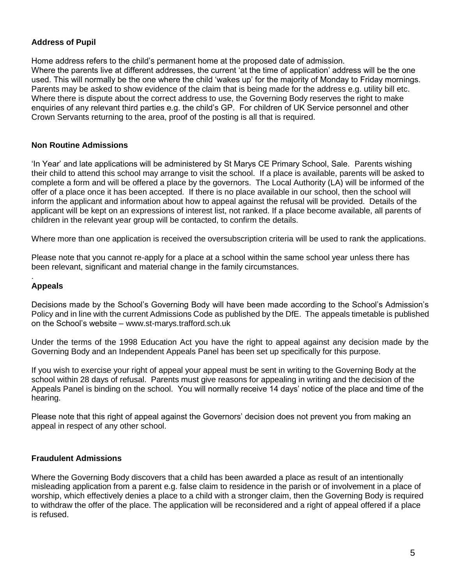# **Address of Pupil**

Home address refers to the child's permanent home at the proposed date of admission. Where the parents live at different addresses, the current 'at the time of application' address will be the one used. This will normally be the one where the child 'wakes up' for the majority of Monday to Friday mornings. Parents may be asked to show evidence of the claim that is being made for the address e.g. utility bill etc. Where there is dispute about the correct address to use, the Governing Body reserves the right to make enquiries of any relevant third parties e.g. the child's GP. For children of UK Service personnel and other Crown Servants returning to the area, proof of the posting is all that is required.

### **Non Routine Admissions**

'In Year' and late applications will be administered by St Marys CE Primary School, Sale. Parents wishing their child to attend this school may arrange to visit the school. If a place is available, parents will be asked to complete a form and will be offered a place by the governors. The Local Authority (LA) will be informed of the offer of a place once it has been accepted. If there is no place available in our school, then the school will inform the applicant and information about how to appeal against the refusal will be provided. Details of the applicant will be kept on an expressions of interest list, not ranked. If a place become available, all parents of children in the relevant year group will be contacted, to confirm the details.

Where more than one application is received the oversubscription criteria will be used to rank the applications.

Please note that you cannot re-apply for a place at a school within the same school year unless there has been relevant, significant and material change in the family circumstances.

#### . **Appeals**

Decisions made by the School's Governing Body will have been made according to the School's Admission's Policy and in line with the current Admissions Code as published by the DfE. The appeals timetable is published on the School's website – www.st-marys.trafford.sch.uk

Under the terms of the 1998 Education Act you have the right to appeal against any decision made by the Governing Body and an Independent Appeals Panel has been set up specifically for this purpose.

If you wish to exercise your right of appeal your appeal must be sent in writing to the Governing Body at the school within 28 days of refusal. Parents must give reasons for appealing in writing and the decision of the Appeals Panel is binding on the school. You will normally receive 14 days' notice of the place and time of the hearing.

Please note that this right of appeal against the Governors' decision does not prevent you from making an appeal in respect of any other school.

#### **Fraudulent Admissions**

Where the Governing Body discovers that a child has been awarded a place as result of an intentionally misleading application from a parent e.g. false claim to residence in the parish or of involvement in a place of worship, which effectively denies a place to a child with a stronger claim, then the Governing Body is required to withdraw the offer of the place. The application will be reconsidered and a right of appeal offered if a place is refused.